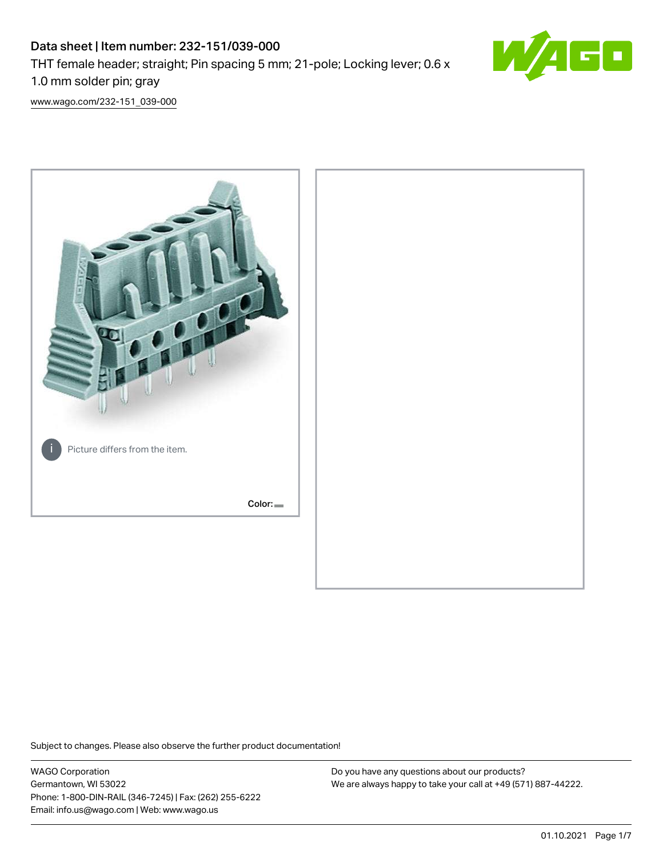# Data sheet | Item number: 232-151/039-000 THT female header; straight; Pin spacing 5 mm; 21-pole; Locking lever; 0.6 x 1.0 mm solder pin; gray



[www.wago.com/232-151\\_039-000](http://www.wago.com/232-151_039-000)



Subject to changes. Please also observe the further product documentation!

WAGO Corporation Germantown, WI 53022 Phone: 1-800-DIN-RAIL (346-7245) | Fax: (262) 255-6222 Email: info.us@wago.com | Web: www.wago.us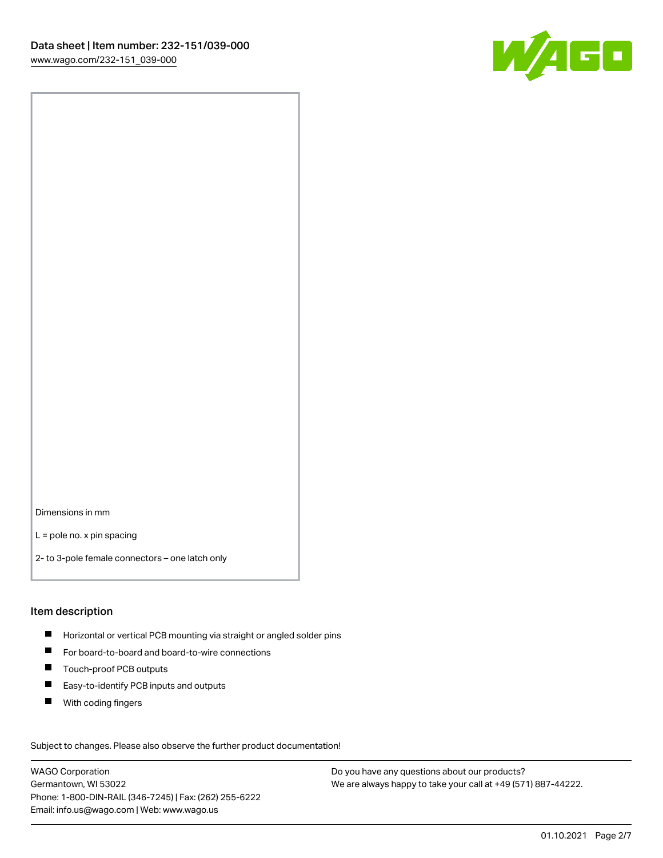

Dimensions in mm

L = pole no. x pin spacing

2- to 3-pole female connectors – one latch only

### Item description

- **H** Horizontal or vertical PCB mounting via straight or angled solder pins
- For board-to-board and board-to-wire connections
- Touch-proof PCB outputs  $\blacksquare$
- $\blacksquare$ Easy-to-identify PCB inputs and outputs
- $\blacksquare$ With coding fingers

Subject to changes. Please also observe the further product documentation! Data

WAGO Corporation Germantown, WI 53022 Phone: 1-800-DIN-RAIL (346-7245) | Fax: (262) 255-6222 Email: info.us@wago.com | Web: www.wago.us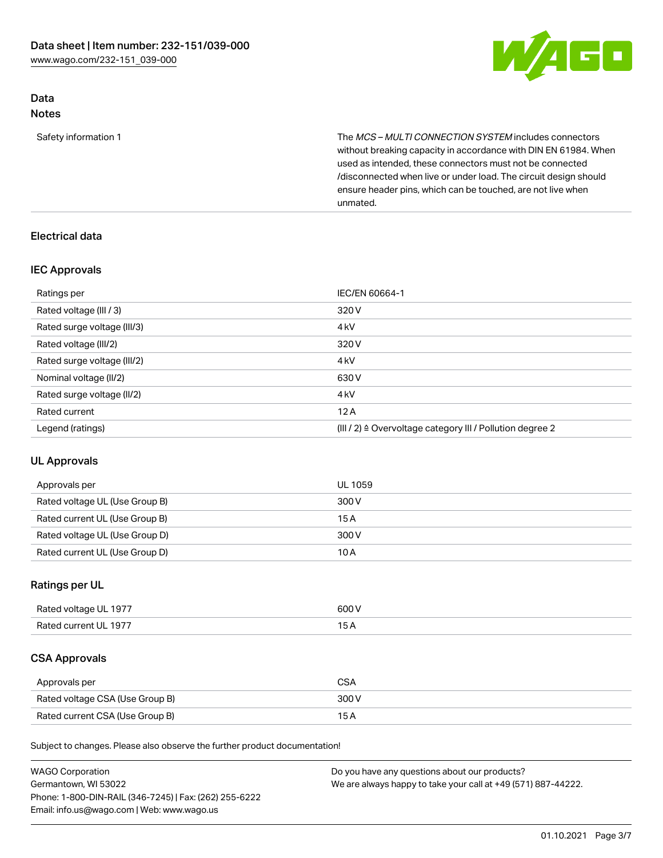

## Data Notes

Safety information 1 The MCS – MULTI CONNECTION SYSTEM includes connectors without breaking capacity in accordance with DIN EN 61984. When used as intended, these connectors must not be connected /disconnected when live or under load. The circuit design should ensure header pins, which can be touched, are not live when unmated.

# Electrical data

## IEC Approvals

| Ratings per                 | IEC/EN 60664-1                                                        |
|-----------------------------|-----------------------------------------------------------------------|
| Rated voltage (III / 3)     | 320 V                                                                 |
| Rated surge voltage (III/3) | 4 <sub>k</sub> V                                                      |
| Rated voltage (III/2)       | 320 V                                                                 |
| Rated surge voltage (III/2) | 4 <sub>k</sub> V                                                      |
| Nominal voltage (II/2)      | 630 V                                                                 |
| Rated surge voltage (II/2)  | 4 <sub>k</sub> V                                                      |
| Rated current               | 12A                                                                   |
| Legend (ratings)            | $(III / 2)$ $\triangle$ Overvoltage category III / Pollution degree 2 |

# UL Approvals

| Approvals per                  | UL 1059 |
|--------------------------------|---------|
| Rated voltage UL (Use Group B) | 300 V   |
| Rated current UL (Use Group B) | 15A     |
| Rated voltage UL (Use Group D) | 300 V   |
| Rated current UL (Use Group D) | 10A     |

## Ratings per UL

| Rated voltage UL 1977 | 600 V                    |
|-----------------------|--------------------------|
| Rated current UL 1977 | $\overline{\phantom{0}}$ |

# CSA Approvals

| Approvals per                   | CSA   |
|---------------------------------|-------|
| Rated voltage CSA (Use Group B) | 300 V |
| Rated current CSA (Use Group B) | 15 A  |

Subject to changes. Please also observe the further product documentation!

| <b>WAGO Corporation</b>                                | Do you have any questions about our products?                 |
|--------------------------------------------------------|---------------------------------------------------------------|
| Germantown, WI 53022                                   | We are always happy to take your call at +49 (571) 887-44222. |
| Phone: 1-800-DIN-RAIL (346-7245)   Fax: (262) 255-6222 |                                                               |
| Email: info.us@wago.com   Web: www.wago.us             |                                                               |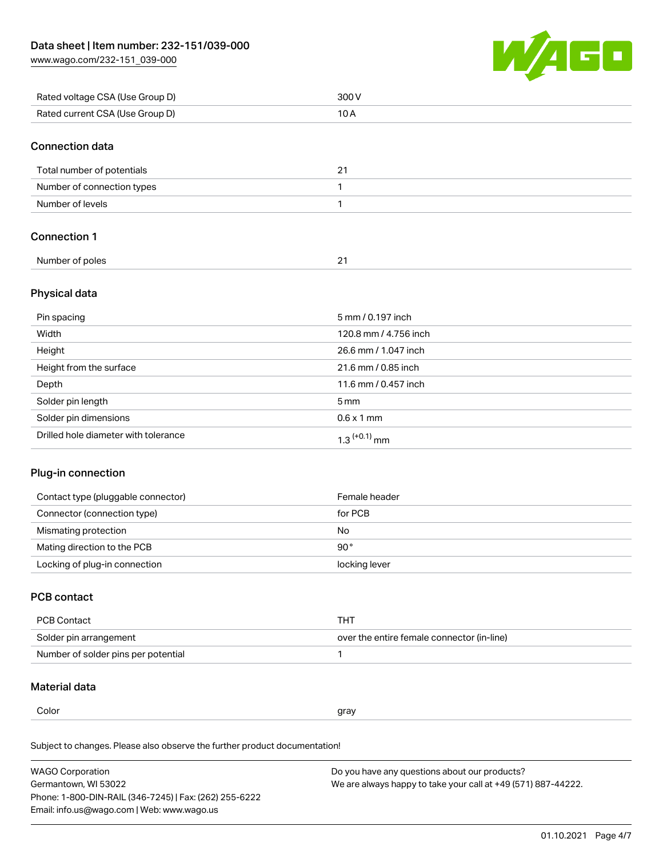[www.wago.com/232-151\\_039-000](http://www.wago.com/232-151_039-000)



| Rated voltage CSA (Use Group D) | 300V                  |
|---------------------------------|-----------------------|
| Rated current CSA (Use Group D) | 10A                   |
| <b>Connection data</b>          |                       |
| Total number of potentials      | 21                    |
| Number of connection types      | 1                     |
| Number of levels                | $\mathbf{1}$          |
| <b>Connection 1</b>             |                       |
| Number of poles                 | 21                    |
| Physical data                   |                       |
| Pin spacing                     | 5 mm / 0.197 inch     |
| Width                           | 120.8 mm / 4.756 inch |
| Height                          | 26.6 mm / 1.047 inch  |
| Height from the surface         | 21.6 mm / 0.85 inch   |

| Height from the surface              | 21.6 mm / 0.85 inch        |
|--------------------------------------|----------------------------|
| Depth                                | 11.6 mm / 0.457 inch       |
| Solder pin length                    | $5 \,\mathrm{mm}$          |
| Solder pin dimensions                | $0.6 \times 1$ mm          |
| Drilled hole diameter with tolerance | $1.3$ <sup>(+0.1)</sup> mm |

## Plug-in connection

| Contact type (pluggable connector) | Female header |
|------------------------------------|---------------|
| Connector (connection type)        | for PCB       |
| Mismating protection               | No            |
| Mating direction to the PCB        | $90^{\circ}$  |
| Locking of plug-in connection      | locking lever |

# PCB contact

| PCB Contact                         | THT                                        |
|-------------------------------------|--------------------------------------------|
| Solder pin arrangement              | over the entire female connector (in-line) |
| Number of solder pins per potential |                                            |

# Material data

L,

| Color | gray |
|-------|------|
|       |      |

Subject to changes. Please also observe the further product documentation! Material group I

| <b>WAGO Corporation</b>                                | Do you have any questions about our products?                 |
|--------------------------------------------------------|---------------------------------------------------------------|
| Germantown, WI 53022                                   | We are always happy to take your call at +49 (571) 887-44222. |
| Phone: 1-800-DIN-RAIL (346-7245)   Fax: (262) 255-6222 |                                                               |
| Email: info.us@wago.com   Web: www.wago.us             |                                                               |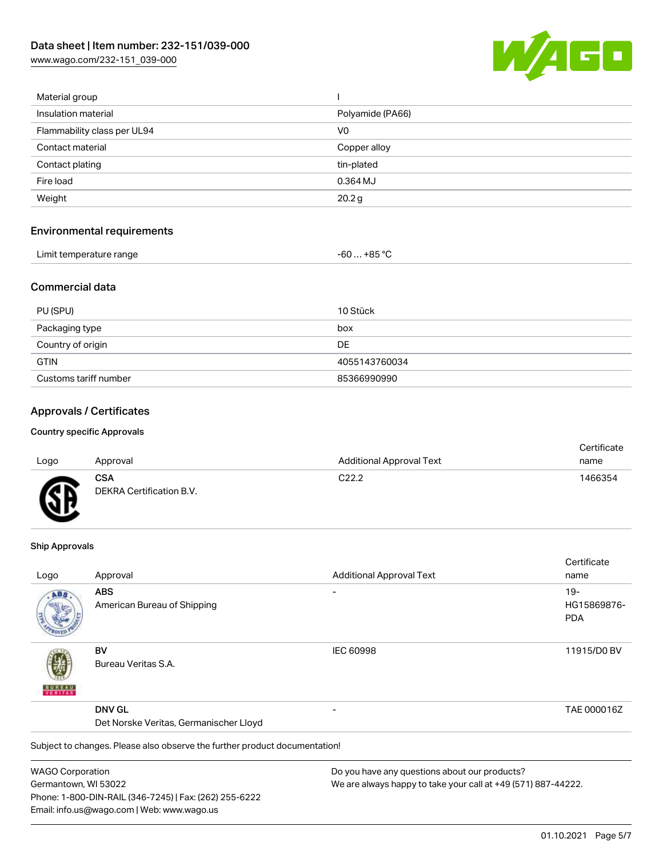[www.wago.com/232-151\\_039-000](http://www.wago.com/232-151_039-000)



| <b>Dookoging tung</b>             | $h \sim v$        |  |
|-----------------------------------|-------------------|--|
| PU (SPU)                          | 10 Stück          |  |
| <b>Commercial data</b>            |                   |  |
| Limit temperature range           | $-60+85 °C$       |  |
| <b>Environmental requirements</b> |                   |  |
| Weight                            | 20.2 <sub>g</sub> |  |
| Fire load                         | 0.364 MJ          |  |
| Contact plating                   | tin-plated        |  |
| Contact material                  | Copper alloy      |  |
| Flammability class per UL94       | V <sub>0</sub>    |  |
| Insulation material               | Polyamide (PA66)  |  |
| Material group                    |                   |  |

| Packaging type        | box           |
|-----------------------|---------------|
| Country of origin     | DE            |
| <b>GTIN</b>           | 4055143760034 |
| Customs tariff number | 85366990990   |

# Approvals / Certificates

### Country specific Approvals

|      |                          |                                 | Certificate |
|------|--------------------------|---------------------------------|-------------|
| Logo | Approval                 | <b>Additional Approval Text</b> | name        |
|      | <b>CSA</b>               | C22.2                           | 1466354     |
| Гπ   | DEKRA Certification B.V. |                                 |             |
|      |                          |                                 |             |

### Ship Approvals

w

|                         |                                                                            |                                               | Certificate |
|-------------------------|----------------------------------------------------------------------------|-----------------------------------------------|-------------|
| Logo                    | Approval                                                                   | <b>Additional Approval Text</b>               | name        |
| ABS                     | <b>ABS</b>                                                                 |                                               | $19 -$      |
|                         | American Bureau of Shipping                                                |                                               | HG15869876- |
|                         |                                                                            |                                               | <b>PDA</b>  |
|                         | BV                                                                         | <b>IEC 60998</b>                              | 11915/D0 BV |
| <b>BUNEAU</b>           | Bureau Veritas S.A.                                                        |                                               |             |
|                         | <b>DNV GL</b>                                                              |                                               | TAE 000016Z |
|                         | Det Norske Veritas, Germanischer Lloyd                                     |                                               |             |
|                         | Subject to changes. Please also observe the further product documentation! |                                               |             |
| <b>WAGO Corporation</b> |                                                                            | Do you have any questions about our products? |             |

Germantown, WI 53022 Phone: 1-800-DIN-RAIL (346-7245) | Fax: (262) 255-6222 Email: info.us@wago.com | Web: www.wago.us

We are always happy to take your call at +49 (571) 887-44222.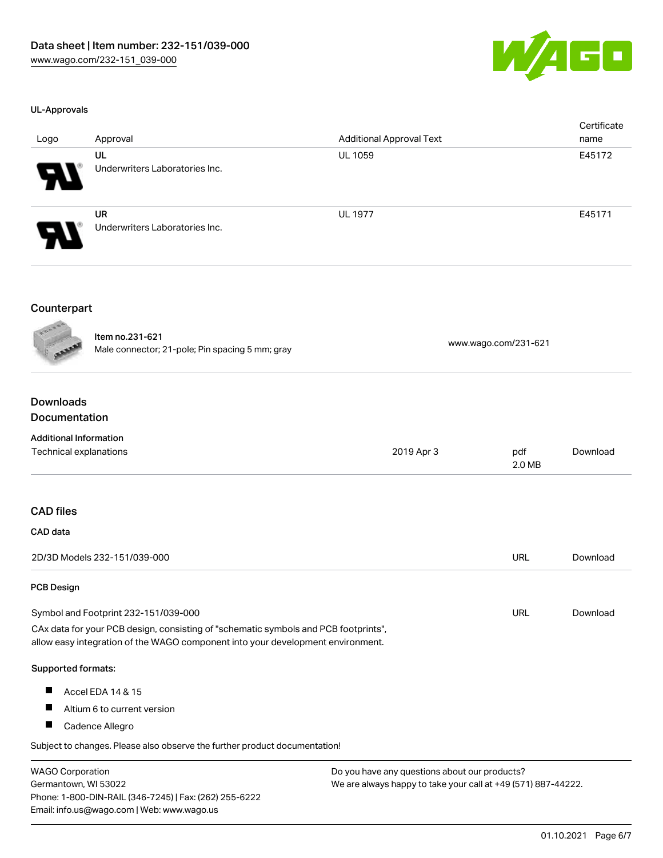

### UL-Approvals

| Logo                  | Approval                                    | <b>Additional Approval Text</b> | Certificate<br>name |
|-----------------------|---------------------------------------------|---------------------------------|---------------------|
| $\boldsymbol{\theta}$ | UL<br>Underwriters Laboratories Inc.        | <b>UL 1059</b>                  | E45172              |
| 8                     | <b>UR</b><br>Underwriters Laboratories Inc. | <b>UL 1977</b>                  | E45171              |

### Counterpart

Item no.231-621 nem 10.231-021<br>Male connector; 21-pole; Pin spacing 5 mm; gray [www.wago.com/231-621](https://www.wago.com/231-621)

# Downloads Documentation

| <b>Additional Information</b>                                                                                                                                          |                                                          |               |          |
|------------------------------------------------------------------------------------------------------------------------------------------------------------------------|----------------------------------------------------------|---------------|----------|
| Technical explanations                                                                                                                                                 | 2019 Apr 3                                               | pdf<br>2.0 MB | Download |
|                                                                                                                                                                        |                                                          |               |          |
| <b>CAD files</b>                                                                                                                                                       |                                                          |               |          |
| CAD data                                                                                                                                                               |                                                          |               |          |
| 2D/3D Models 232-151/039-000                                                                                                                                           |                                                          | URL           | Download |
| <b>PCB Design</b>                                                                                                                                                      |                                                          |               |          |
| Symbol and Footprint 232-151/039-000                                                                                                                                   |                                                          | URL           | Download |
| CAx data for your PCB design, consisting of "schematic symbols and PCB footprints",<br>allow easy integration of the WAGO component into your development environment. |                                                          |               |          |
| Supported formats:                                                                                                                                                     |                                                          |               |          |
| ш<br>Accel EDA 14 & 15                                                                                                                                                 |                                                          |               |          |
| ш<br>Altium 6 to current version                                                                                                                                       |                                                          |               |          |
| П<br>Cadence Allegro                                                                                                                                                   |                                                          |               |          |
| Subject to changes. Please also observe the further product documentation!                                                                                             |                                                          |               |          |
| $MLADO$ $O2 = -24$                                                                                                                                                     | De unit legislation en extended als antiques and install |               |          |

WAGO Corporation Germantown, WI 53022 Phone: 1-800-DIN-RAIL (346-7245) | Fax: (262) 255-6222 Email: info.us@wago.com | Web: www.wago.us